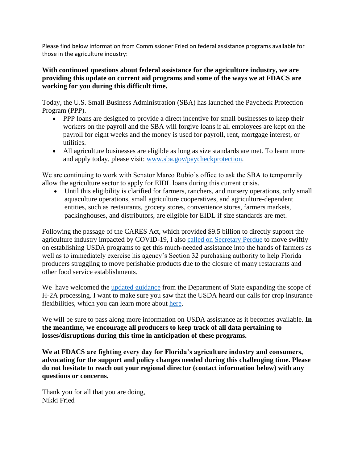Please find below information from Commissioner Fried on federal assistance programs available for those in the agriculture industry:

# **With continued questions about federal assistance for the agriculture industry, we are providing this update on current aid programs and some of the ways we at FDACS are working for you during this difficult time.**

Today, the U.S. Small Business Administration (SBA) has launched the Paycheck Protection Program (PPP).

- PPP loans are designed to provide a direct incentive for small businesses to keep their workers on the payroll and the SBA will forgive loans if all employees are kept on the payroll for eight weeks and the money is used for payroll, rent, mortgage interest, or utilities.
- All agriculture businesses are eligible as long as size standards are met. To learn more and apply today, please visit: [www.sba.gov/paycheckprotection.](https://urldefense.proofpoint.com/v2/url?u=http-3A__www.sba.gov_paycheckprotection&d=DwMFAg&c=sJ6xIWYx-zLMB3EPkvcnVg&r=6x5Bsf6VN00E93LzHNiF40sfxEaUy-U89eDkpF1CmOs&m=HTVbmNuAeMF5-JNjxdH09G1XDw2yjGVrZBzYTMwqgg0&s=Pb-iLRpfQXarUECidS_bkpGjojpxvVOBIjstutM8C-E&e=)

We are continuing to work with Senator Marco Rubio's office to ask the SBA to temporarily allow the agriculture sector to apply for EIDL loans during this current crisis.

• Until this eligibility is clarified for farmers, ranchers, and nursery operations, only small aquaculture operations, small agriculture cooperatives, and agriculture-dependent entities, such as restaurants, grocery stores, convenience stores, farmers markets, packinghouses, and distributors, are eligible for EIDL if size standards are met.

Following the passage of the CARES Act, which provided \$9.5 billion to directly support the agriculture industry impacted by COVID-19, I also [called on Secretary Perdue](https://urldefense.proofpoint.com/v2/url?u=https-3A__www.dropbox.com_s_btxxtyefbcvnnbm_SecSonnyPerdue-5F03312020-5FWD.pdf-3Fdl-3D0&d=DwMFAg&c=sJ6xIWYx-zLMB3EPkvcnVg&r=6x5Bsf6VN00E93LzHNiF40sfxEaUy-U89eDkpF1CmOs&m=HTVbmNuAeMF5-JNjxdH09G1XDw2yjGVrZBzYTMwqgg0&s=4y6BdjPU_Q9ZIoEGwf7KiIwFtWcqi6W9I72dNHfWQko&e=) to move swiftly on establishing USDA programs to get this much-needed assistance into the hands of farmers as well as to immediately exercise his agency's Section 32 purchasing authority to help Florida producers struggling to move perishable products due to the closure of many restaurants and other food service establishments.

We have welcomed the [updated guidance](https://urldefense.proofpoint.com/v2/url?u=https-3A__gcc02.safelinks.protection.outlook.com_-3Furl-3Dhttps-253A-252F-252Ftravel.state.gov-252Fcontent-252Ftravel-252Fen-252FNews-252Fvisas-2Dnews-252Fimportant-2Dannouncement-2Don-2Dh2-2Dvisas.html-26data-3D02-257C01-257C-257C21ddf82ee2b549f4532008d7d1bc7c13-257Ced5b36e701ee4ebc867ee03cfa0d4697-257C0-257C0-257C637208479776039072-26sdata-3DLdLqXQzhBR40lrkz1f6-252FuPXnEuSJahiqwve0TEOzAos-253D-26reserved-3D0&d=DwMFAg&c=sJ6xIWYx-zLMB3EPkvcnVg&r=6x5Bsf6VN00E93LzHNiF40sfxEaUy-U89eDkpF1CmOs&m=HTVbmNuAeMF5-JNjxdH09G1XDw2yjGVrZBzYTMwqgg0&s=6USddve82nHRJIa7yvmidaj4n72LI3pZM4mkL7c9HG8&e=) from the Department of State expanding the scope of H-2A processing. I want to make sure you saw that the USDA heard our calls for crop insurance flexibilities, which you can learn more about [here.](https://urldefense.proofpoint.com/v2/url?u=https-3A__www.fdacs.gov_News-2DEvents_Press-2DReleases_2020-2DPress-2DReleases_Commissioner-2DFried-2DAdvising-2DFarmers-2Dto-2DUtilize-2DNew-2DFlexibilities-2Don-2DCrop-2DInsurance-2DDue-2Dto-2DCOVID-2D19&d=DwMFAg&c=sJ6xIWYx-zLMB3EPkvcnVg&r=6x5Bsf6VN00E93LzHNiF40sfxEaUy-U89eDkpF1CmOs&m=HTVbmNuAeMF5-JNjxdH09G1XDw2yjGVrZBzYTMwqgg0&s=TCMgg77XLJdRyFlQ2GqC-r7yWPfXeA__Prfy4nspYQk&e=)

We will be sure to pass along more information on USDA assistance as it becomes available. **In the meantime, we encourage all producers to keep track of all data pertaining to losses/disruptions during this time in anticipation of these programs.**

**We at FDACS are fighting every day for Florida's agriculture industry and consumers, advocating for the support and policy changes needed during this challenging time. Please do not hesitate to reach out your regional director (contact information below) with any questions or concerns.**

Thank you for all that you are doing, Nikki Fried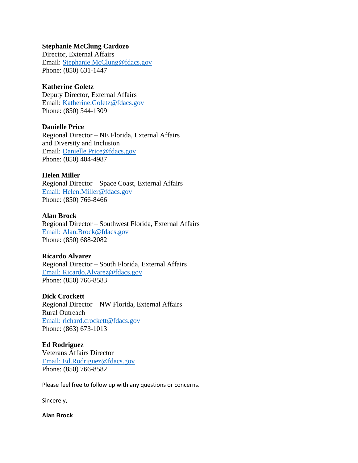### **Stephanie McClung Cardozo**

Director, External Affairs Email: [Stephanie.McClung@fdacs.gov](mailto:Stephanie.McClung@fdacs.gov) Phone: (850) 631-1447

### **Katherine Goletz**

Deputy Director, External Affairs Email: [Katherine.Goletz@fdacs.gov](mailto:Katherine.Goletz@fdacs.gov) Phone: (850) 544-1309

#### **Danielle Price**

Regional Director – NE Florida, External Affairs and Diversity and Inclusion Email: [Danielle.Price@fdacs.gov](mailto:Danielle.Price@fdacs.gov) Phone: (850) 404-4987

#### **Helen Miller**

Regional Director – Space Coast, External Affairs Email: [Helen.Miller@fdacs.gov](mailto:Helen.Miller@fdacs.gov) Phone: (850) 766-8466

## **Alan Brock**

Regional Director – Southwest Florida, External Affairs Email: [Alan.Brock@fdacs.gov](mailto:Alan.Brock@fdacs.gov) Phone: (850) 688-2082

#### **Ricardo Alvarez**

Regional Director – South Florida, External Affairs Email: [Ricardo.Alvarez@fdacs.gov](mailto:Ricardo.Alvarez@fdacs.gov) Phone: (850) 766-8583

## **Dick Crockett**

Regional Director – NW Florida, External Affairs Rural Outreach Email: [richard.crockett@fdacs.gov](mailto:richard.crockett@fdacs.gov) Phone: (863) 673-1013

## **Ed Rodriguez**

Veterans Affairs Director Email: [Ed.Rodriguez@fdacs.gov](mailto:Ed.Rodriguez@fdacs.gov) Phone: (850) 766-8582

Please feel free to follow up with any questions or concerns.

Sincerely,

#### **Alan Brock**